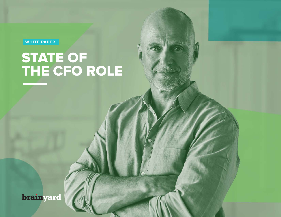**WHITE PAPER**

# STATE OF THE CFO ROLE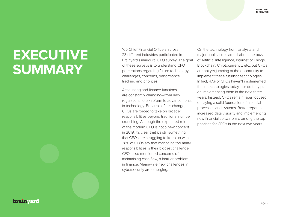# **EXECUTIVE SUMMARY**

brainyard

166 Chief Financial Officers across 23 different industries participated in Brainyard's inaugural CFO survey. The goal of these surveys is to understand CFO perceptions regarding future technology, challenges, concerns, performance tracking and priorities.

Accounting and finance functions are constantly changing—from new regulations to tax reform to advancements in technology. Because of this change, CFOs are forced to take on broader responsibilities beyond traditional number crunching. Although the expanded role of the modern CFO is not a new concept in 2019, it's clear that it's still something that CFOs are struggling to keep up with. 38% of CFOs say that managing too many responsibilities is their biggest challenge. CFOs also mentioned concerns of maintaining cash flow, a familiar problem in finance. Meanwhile new challenges in cybersecurity are emerging.

On the technology front, analysts and major publications are all about the buzz of Artificial Intelligence, Internet of Things, Blockchain, Cryptocurrency, etc., but CFOs are not yet jumping at the opportunity to implement these futuristic technologies. In fact, 47% of CFOs haven't implemented these technologies today, nor do they plan on implementing them in the next three years. Instead, CFOs remain laser focused on laying a solid foundation of financial processes and systems. Better reporting, increased data visibility and implementing new financial software are among the top priorities for CFOs in the next two years.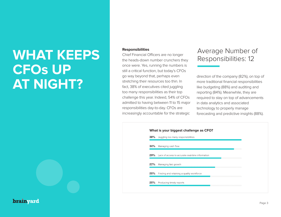# **WHAT KEEPS** Responsibilities Average Number of Chief Financial Officers are no longer Average Number of Chief Financial Officers are no longer Responsibilities: 12 **CFOs UP AT NIGHT?**

## brainvard

#### **Responsibilities**

Chief Financial Officers are no longer the heads-down number crunchers they once were. Yes, running the numbers is still a critical function, but today's CFOs go way beyond that, perhaps even stretching their resources too thin. In fact, 38% of executives cited juggling too many responsibilities as their top challenge this year. Indeed, 54% of CFOs admitted to having between 11 to 15 major responsibilities day-to-day. CFOs are increasingly accountable for the strategic

direction of the company (82%), on top of more traditional financial responsibilities like budgeting (88%) and auditing and reporting (84%). Meanwhile, they are required to stay on top of advancements in data analytics and associated technology to properly manage forecasting and predictive insights (88%).

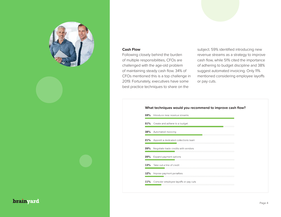

### **Cash Flow**

Following closely behind the burden of multiple responsibilities, CFOs are challenged with the age-old problem of maintaining steady cash flow. 34% of CFOs mentioned this is a top challenge in 2019. Fortunately, executives have some best practice techniques to share on the

subject. 59% identified introducing new revenue streams as a strategy to improve cash flow, while 51% cited the importance of adhering to budget discipline and 38% suggest automated invoicing. Only 11% mentioned considering employee layoffs or pay cuts.

#### **What techniques would you recommend to improve cash flow?**

59% Introduce new revenue streams 51% Create and adhere to a budget 38% Automated invoicing 21% Appoint a dedicated collections team 20% Negotiate trade credits with vendors 20% Expand payment options 13% Take out a line of credit 12% Impose payment penalties 11% Consider employee layoffs or pay cuts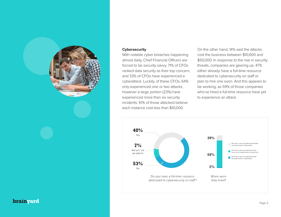

#### **Cybersecurity**

With notable cyber breaches happening almost daily, Chief Financial Officers are forced to be security savvy. 71% of CFOs ranked data security as their top concern, and 33% of CFOs have experienced a cyberattack. Luckily, of these CFOs, 64% only experienced one or two attacks, however a large portion (23%) have experienced more than six security incidents. 61% of those attacked believe each instance cost less than \$10,000.

On the other hand, 14% said the attacks cost the business between \$10,000 and \$50,000. In response to the rise in security threats, companies are gearing up. 47% either already have a full-time resource dedicated to cybersecurity on staff or plan to hire one soon. And this appears to be working, as 59% of those companies who've hired a full-time resource have yet to experience an attack.

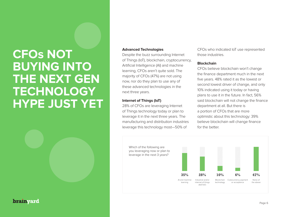## **CFOs NOT BUYING INTO THE NEXT GEN TECHNOLOGY HYPE JUST YET**

### brainvard

#### **Advanced Technologies**

Despite the buzz surrounding Internet of Things (IoT), blockchain, cryptocurrency, Artificial Intelligence (AI) and machine learning, CFOs aren't quite sold. The majority of CFOs (47%) are not using now, nor do they plan to use any of these advanced technologies in the next three years.

#### **Internet of Things (IoT)**

28% of CFOs are leveraging Internet of Things technology today or plan to leverage it in the next three years. The manufacturing and distribution industries leverage this technology most—50% of

CFOs who indicated IoT use represented those industries.

#### **Blockchain**

CFOs believe blockchain won't change the finance department much in the next five years. 48% rated it as the lowest or second lowest driver of change, and only 10% indicated using it today or having plans to use it in the future. In fact, 56% said blockchain will not change the finance department at all. But there is a portion of CFOs that are more optimistic about this technology: 39% believe blockchain will change finance for the better.



Page 6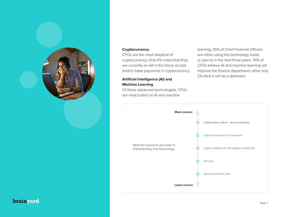

### **Cryptocurrency**

CFOs are the most skeptical of cryptocurrency. Only 6% noted that they are currently or will in the future accept and/or make payments in cryptocurrency.

### **Artificial Intelligence (AI) and Machine Learning**

Of these advanced technologies, CFOs are most bullish on AI and machine

learning. 35% of Chief Financial Officers are either using this technology today or plan to in the next three years. 74% of CFOs believe AI and machine learning will improve the finance department, while only 2% think it will be a detriment.

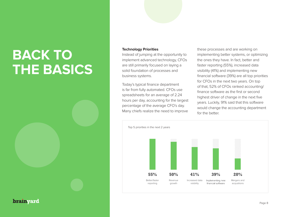# **BACK TO THE BASICS**

#### **Technology Priorities**

Instead of jumping at the opportunity to implement advanced technology, CFOs are still primarily focused on laying a solid foundation of processes and business systems.

Today's typical finance department is far from fully automated. CFOs use spreadsheets for an average of 2.24 hours per day, accounting for the largest percentage of the average CFO's day. Many chiefs realize the need to improve

these processes and are working on implementing better systems, or optimizing the ones they have. In fact, better and faster reporting (55%), increased data visibility (41%) and implementing new financial software (39%) are all top priorities for CFOs in the next two years. On top of that, 52% of CFOs ranked accounting/ finance software as the first or second highest driver of change in the next five years. Luckily, 91% said that this software would change the accounting department for the better.

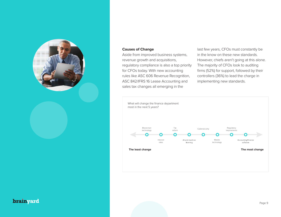

#### **Causes of Change**

Aside from improved business systems, revenue growth and acquisitions, regulatory compliance is also a top priority for CFOs today. With new accounting rules like ASC 606 Revenue Recognition, ASC 842/IFRS 16 Lease Accounting and sales tax changes all emerging in the

last few years, CFOs must constantly be in the know on these new standards. However, chiefs aren't going at this alone. The majority of CFOs look to auditing firms (52%) for support, followed by their controllers (36%) to lead the charge in implementing new standards.

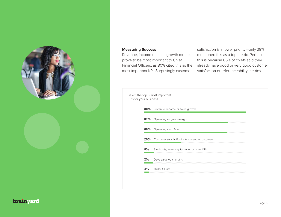

#### **Measuring Success**

Revenue, income or sales growth metrics prove to be most important to Chief Financial Officers, as 80% cited this as the most important KPI. Surprisingly customer

satisfaction is a lower priority—only 29% mentioned this as a top metric. Perhaps this is because 66% of chiefs said they already have good or very good customer satisfaction or referenceability metrics.

| KPIs for your business |     | Select the top 3 most important               |
|------------------------|-----|-----------------------------------------------|
|                        | 80% | Revenue, income or sales growth               |
|                        | 67% | Operating or gross margin                     |
|                        | 66% | Operating cash flow                           |
|                        | 29% | Customer satisfaction/referenceable customers |
|                        | 8%  | Stockouts, inventory turnover or other KPIs   |
|                        | 7%  | Days sales outstanding                        |
|                        | 4%  | Order fill rate                               |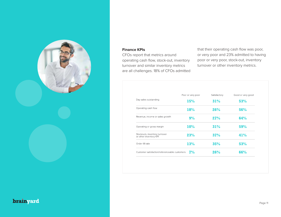

### **Finance KPIs**

CFOs report that metrics around operating cash flow, stock-out, inventory turnover and similar inventory metrics are all challenges. 18% of CFOs admitted that their operating cash flow was poor, or very poor and 23% admitted to having poor or very poor, stock-out, inventory turnover or other inventory metrics.

|                                                         | Poor or very poor | Satisfactory | Good or very good |
|---------------------------------------------------------|-------------------|--------------|-------------------|
| Day sales outstanding                                   | <b>15%</b>        | 31%          | 53%               |
| Operating cash flow                                     | 18%               | 26%          | 56%               |
| Revenue, income or sales growth                         | 9%                | 27%          | 64%               |
| Operating or gross margin                               | 10%               | 31%          | <b>59%</b>        |
| Stockouts, inventory turnover<br>or other inventory KPI | 23%               | 37%          | 41%               |
| Order fill rate                                         | <b>13%</b>        | 35%          | 53%               |
| Customer satisfaction/referenceable customers           | 7%                | 26%          | 66%               |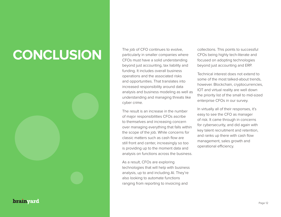# **CONCLUSION**

brainyard

The job of CFO continues to evolve, particularly in smaller companies where CFOs must have a solid understanding beyond just accounting, tax liability and funding. It includes overall business operations and the associated risks and opportunities. That translates into increased responsibility around data analysis and business modeling as well as understanding and managing threats like cyber crime.

The result is an increase in the number of major responsibilities CFOs ascribe to themselves and increasing concern over managing everything that falls within the scope of the job. While concerns for classic matters such as cash flow are still front and center, increasingly so too is providing up to the moment data and analysis on functions across the business.

As a result, CFOs are exploring technologies that will help with business analysis, up to and including AI. They're also looking to automate functions ranging from reporting to invoicing and

collections. This points to successful CFOs being highly tech-literate and focused on adopting technologies beyond just accounting and ERP.

Technical interest does not extend to some of the most talked-about trends, however. Blockchain, cryptocurrencies, IOT and virtual reality are well down the priority list of the small to mid-sized enterprise CFOs in our survey.

In virtually all of their responses, it's easy to see the CFO as manager of risk. It came through in concerns for cybersecurity, and did again with key talent recruitment and retention, and ranks up there with cash flow management, sales growth and operational efficiency.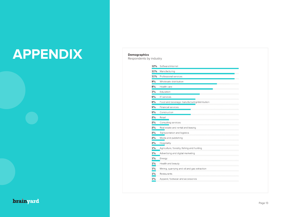# APPENDIX **Demographics**

### **Demographics**

| 12%   | Software/internet                                                                                            |
|-------|--------------------------------------------------------------------------------------------------------------|
| 11%   | Manufacturing<br>7777                                                                                        |
| 11%   | Professional services<br>////                                                                                |
| 9%    | Wholesale distribution<br>,,,,,,,,,,,,,,,,,,,,,,,,                                                           |
| 8%    | Health care                                                                                                  |
| 7%    | ,,,,,,,,,,,,,,,,,,,,,,,<br>Education                                                                         |
| 6%    | ,,,,,,,,,,,,,,,,,,,,,,,,,,,<br><b>IT</b> services                                                            |
| 6%    | Food and beverage manufacturing/distribution                                                                 |
| 5%    | ,,,,,,,,,,,,,,,,,,,,<br><b>Financial services</b>                                                            |
| 5%    | Construction                                                                                                 |
| 2%    | Retail                                                                                                       |
| 2%    | Consulting services                                                                                          |
| 2%    | Real estate and rental and leasing<br>,,,,,,,,,,,,,,,,,,,,,,,,,,,,,,,,,,,,,,                                 |
| 2%    | Transportation and logistics<br>,,,,,,,,,,,,,,,,,,,,,,,,,,,,,,,,,,,,,,<br>,,,,,,,,,,,,,,,,,,,,,,,,,,,,,,,,,, |
| 2%    | Media and publishing                                                                                         |
| 2%    | Hospitality                                                                                                  |
| $1\%$ | Agriculture, forestry, fishing and hunting                                                                   |
| $1\%$ | Advertising and digital marketing                                                                            |
| $1\%$ | Energy                                                                                                       |
| $1\%$ | Health and beauty                                                                                            |
| 1%    | Mining, quarrying and oil and gas extraction                                                                 |
| $1\%$ | Restaurants                                                                                                  |
| $1\%$ | Apparel, footwear and accessories                                                                            |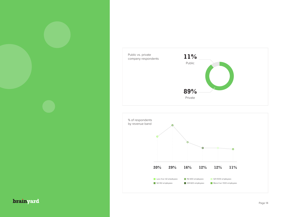



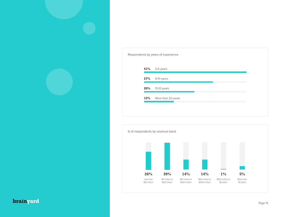

Respondents by years of experience

| 27% | 6-10 years<br>,,,,,,,,,,,,,,,,,,,,,,,,,,,,,,       |
|-----|----------------------------------------------------|
| 20% | 11-20 years<br>,,,,,,,,,,,,,,,,,,,,,,,,,,,,,,,,,,, |
| 12% | More than 20 years                                 |

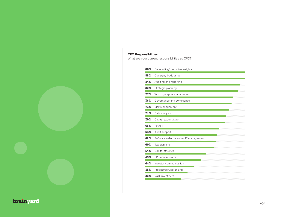#### **CFO Responsibilities**

What are your current responsibilities as CFO?

| 88% | Forecasting/predictive insights                                    |
|-----|--------------------------------------------------------------------|
| 88% | Company budgeting                                                  |
| 84% | Auditing and reporting                                             |
| 82% | Strategic planning<br>777777                                       |
| 77% | Working capital management                                         |
| 76% | Governance and compliance<br>//////////                            |
| 73% | Risk management<br>7777777777777                                   |
| 71% | Data analysis<br>//////////////                                    |
| 70% | Capital expenditure<br>////////////////                            |
| 65% | Payroll<br>77777777777777777777777                                 |
| 63% | Audit support<br>,,,,,,,,,,,,,,,,,,,,,                             |
| 62% | Software selection/other IT management<br>,,,,,,,,,,,,,,,,,,,,,,,, |
| 60% | Tax planning<br>,,,,,,,,,,,,,,,,,,,,,,,,,                          |
| 54% | Capital structure<br>7777777777777777777777777777777               |
| 49% | ERP administrator                                                  |
| 44% | ,,,,,,,,,,,,,,,,,,,,,,,,,,,,,,,,,<br>Investor communication        |
| 38% | Product/service pricing                                            |
| 32% | R&D investment                                                     |
|     |                                                                    |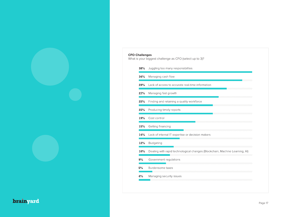| 38% | Juggling too many responsibilites                                              |
|-----|--------------------------------------------------------------------------------|
| 34% | Managing cash flow                                                             |
| 29% | ////////<br>Lack of access to accurate real-time information<br>////////////// |
| 27% | Managing fast growth                                                           |
| 25% | ////////////////////////////<br>Finding and retaining a quality workforce      |
| 25% | Producing timely reports                                                       |
| 19% | ////////////////////////<br>Cost control                                       |
| 15% | Getting financing                                                              |
| 14% | Lack of internal IT expertise or decision makers                               |
| 12% | <b>Budgeting</b>                                                               |
| 10% | Dealing with rapid technological changes (Blockchain, Machine Learning, Al)    |
| 9%  | Government regulations                                                         |
| 5%  | Burdensome taxes                                                               |
| 4%  | Managing security issues<br>,,,,,,,,,,,,,,,,,,,,,,,,,                          |

#### **CFO Challenges**

What is your biggest challenge as CFO (select up to 3)?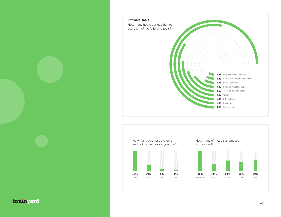

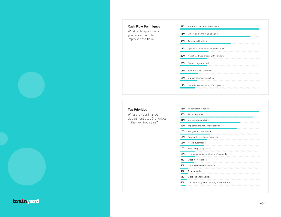|  | I |
|--|---|
|--|---|

### **Cash Flow Techniques**

What techniques would you recommend to improve cash flow?

### **Top Priorities**

What are your finance department's top 3 priorities in the next two years?

| 55% | Better/faster reporting                                               |
|-----|-----------------------------------------------------------------------|
| 50% | Revenue growth                                                        |
| 41% | Increased data visibility                                             |
| 39% | ,,,,,,,,,,,,,,,,,,,<br>Implementing new financial software            |
| 20% | ,,,,,,,,,,,,,,,,,,,,,,<br>Mergers and acquisitions                    |
| 19% | Support international expansion                                       |
| 16% | Al and automation                                                     |
| 10% | Regulatory compliance                                                 |
| 10% | Hiring finance/accounting professionals                               |
| 9%  | Open new facilities                                                   |
| 5%  | Consolidate offices/facilities                                        |
| 5%  | Cybersecurity                                                         |
| 5%  | Blockchain technology                                                 |
| 4%  | ,,,,,,,,,,,,,,,,,,,,,,,,<br>Understanding and adapting to tax reforms |

| 59% | Introduce new revenue streams         |
|-----|---------------------------------------|
| 51% | Create and adhere to a budget         |
| 38% | Automated invoicing                   |
| 21% | Appoint a dedicated collections team  |
| 20% | Negotiate trade credits with vendors  |
| 20% | Expand payment options                |
| 13% | Take out a line of credit             |
| 12% | Impose payment penalties              |
| 11% | Consider employee layoffs or pay cuts |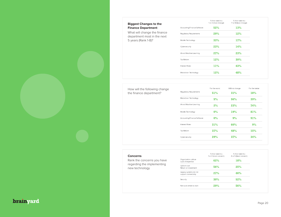| <b>Biggest Changes to the</b>                               |                                                   | % that rated it a<br>1 or 2 (most change) | % that rated it a<br>7 or 8 (least change) |
|-------------------------------------------------------------|---------------------------------------------------|-------------------------------------------|--------------------------------------------|
| <b>Finance Department</b>                                   | Accounting/Finance Software                       | 52%                                       | 13%                                        |
| What will change the finance<br>department most in the next | Regulatory Requirements                           | 29%                                       | 12%                                        |
| 5 years (Rank 1-8)?                                         | Mobile Technology                                 | 33%                                       | 17%                                        |
|                                                             | Cybersecurity                                     | 23%                                       | 14%                                        |
|                                                             | AJ and Machine Learning                           | 27%                                       | 23%                                        |
|                                                             | 12%<br>Tax Reform<br>11%<br><b>Interest Rates</b> | 30%                                       |                                            |
|                                                             |                                                   |                                           | 43%                                        |
|                                                             | Blockchain Technology                             | 12%                                       | <b>48%</b>                                 |
|                                                             |                                                   |                                           |                                            |

How will the following change the finance department?

|                             | For the worst | Will not change | For the better |
|-----------------------------|---------------|-----------------|----------------|
| Regulatory Requirements     | 51%           | 31%             | 18%            |
| Blockchain Technology       | 5%            | <b>56%</b>      | 39%            |
| AI and Machine Learning     | 2%            | 23%             | 74%            |
| Mobile Technology           | $0\%$         | 19%             | 81%            |
| Accounting/Finance Software | $0\%$         | 9%              | 91%            |
| <b>Interest Rates</b>       | 31%           | 60%             | 9%             |
| Tax Reform                  | 37%           | 48%             | 15%            |
| Cybersecurity               | 29%           | 37%             | 34%            |

| <b>Concerns</b>                              |                                               | % that rated it a<br>1 or 2 (most concern) | % that rated it a<br>4 or 5 (least concern) |
|----------------------------------------------|-----------------------------------------------|--------------------------------------------|---------------------------------------------|
| Rank the concerns you have                   | Organization culture<br>Lack of expertise     | 62%                                        | 18%                                         |
| regarding the implementing<br>new technology | Upfront cost<br>Return on investment          | <b>56%</b>                                 | 25%                                         |
|                                              | Legacy systems do not<br>support connectivity | 27%                                        | 46%                                         |
|                                              | Security                                      | 30%                                        | 52%                                         |
|                                              | Not sure where to start                       | 29%                                        | 56%                                         |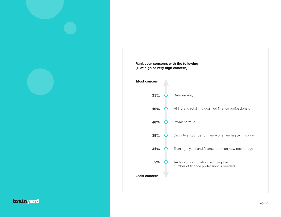